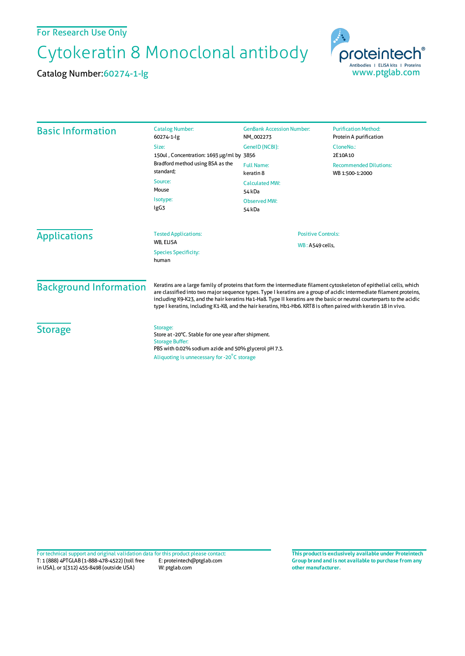## For Research Use Only

## Cytokeratin 8 Monoclonal antibody

Catalog Number:60274-1-Ig



| <b>Basic Information</b>      | <b>Catalog Number:</b><br>60274-1-lg                                                                                                                                                                                                                                                                                                                                                                                                                                                   | <b>GenBank Accession Number:</b><br>NM_002273 | <b>Purification Method:</b><br>Protein A purification |
|-------------------------------|----------------------------------------------------------------------------------------------------------------------------------------------------------------------------------------------------------------------------------------------------------------------------------------------------------------------------------------------------------------------------------------------------------------------------------------------------------------------------------------|-----------------------------------------------|-------------------------------------------------------|
|                               | Size:<br>150ul, Concentration: 1693 µg/ml by 3856                                                                                                                                                                                                                                                                                                                                                                                                                                      | GenelD (NCBI):                                | CloneNo.:<br>2E10A10                                  |
|                               | Bradford method using BSA as the<br>standard;                                                                                                                                                                                                                                                                                                                                                                                                                                          | <b>Full Name:</b><br>keratin 8                | <b>Recommended Dilutions:</b><br>WB 1:500-1:2000      |
|                               | Source:<br>Mouse                                                                                                                                                                                                                                                                                                                                                                                                                                                                       | <b>Calculated MW:</b><br>54 kDa               |                                                       |
|                               | Isotype:<br>IgG3                                                                                                                                                                                                                                                                                                                                                                                                                                                                       | <b>Observed MW:</b><br>54 kDa                 |                                                       |
| <b>Applications</b>           | <b>Tested Applications:</b>                                                                                                                                                                                                                                                                                                                                                                                                                                                            | <b>Positive Controls:</b>                     |                                                       |
|                               | WB, ELISA<br><b>Species Specificity:</b><br>human                                                                                                                                                                                                                                                                                                                                                                                                                                      |                                               | <b>WB: A549 cells,</b>                                |
| <b>Background Information</b> | Keratins are a large family of proteins that form the intermediate filament cytoskeleton of epithelial cells, which<br>are classified into two major sequence types. Type I keratins are a group of acidic intermediate filament proteins,<br>including K9-K23, and the hair keratins Ha1-Ha8. Type II keratins are the basic or neutral courterparts to the acidic<br>type I keratins, including K1-K8, and the hair keratins, Hb1-Hb6. KRT8 is often paired with keratin 18 in vivo. |                                               |                                                       |
| <b>Storage</b>                | Storage:<br>Store at -20°C. Stable for one year after shipment.<br><b>Storage Buffer:</b><br>PBS with 0.02% sodium azide and 50% glycerol pH 7.3.                                                                                                                                                                                                                                                                                                                                      |                                               |                                                       |
|                               | Aliquoting is unnecessary for -20°C storage                                                                                                                                                                                                                                                                                                                                                                                                                                            |                                               |                                                       |

T: 1 (888) 4PTGLAB (1-888-478-4522) (toll free in USA), or 1(312) 455-8498 (outside USA) E: proteintech@ptglab.com W: ptglab.com Fortechnical support and original validation data forthis product please contact: **This productis exclusively available under Proteintech**

**Group brand and is not available to purchase from any other manufacturer.**